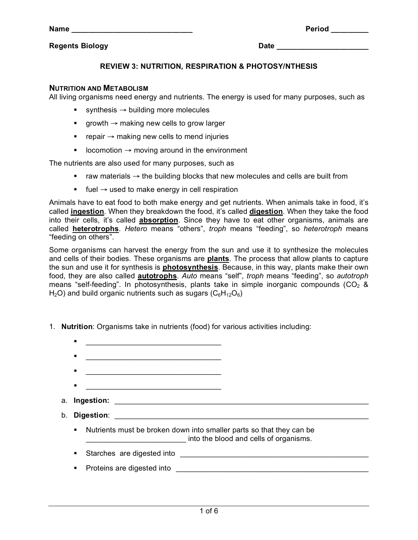## **Regents Biology Date \_\_\_\_\_\_\_\_\_\_\_\_\_\_\_\_\_\_\_\_\_\_**

# **REVIEW 3: NUTRITION, RESPIRATION & PHOTOSY/NTHESIS**

#### **NUTRITION AND METABOLISM**

All living organisms need energy and nutrients. The energy is used for many purposes, such as

- synthesis  $\rightarrow$  building more molecules
- growth  $\rightarrow$  making new cells to grow larger
- repair  $\rightarrow$  making new cells to mend injuries
- locomotion  $\rightarrow$  moving around in the environment

The nutrients are also used for many purposes, such as

- **F** raw materials  $\rightarrow$  the building blocks that new molecules and cells are built from
- **■** fuel  $\rightarrow$  used to make energy in cell respiration

Animals have to eat food to both make energy and get nutrients. When animals take in food, it's called **ingestion**. When they breakdown the food, it's called **digestion**. When they take the food into their cells, it's called **absorption**. Since they have to eat other organisms, animals are called **heterotrophs**. *Hetero* means "others", *troph* means "feeding", so *heterotroph* means "feeding on others".

Some organisms can harvest the energy from the sun and use it to synthesize the molecules and cells of their bodies. These organisms are **plants**. The process that allow plants to capture the sun and use it for synthesis is **photosynthesis**. Because, in this way, plants make their own food, they are also called **autotrophs**. *Auto* means "self", *troph* means "feeding", so *autotroph* means "self-feeding". In photosynthesis, plants take in simple inorganic compounds ( $CO<sub>2</sub>$  & H<sub>2</sub>O) and build organic nutrients such as sugars ( $C_6H_{12}O_6$ )

- 1. **Nutrition**: Organisms take in nutrients (food) for various activities including:
	- \_\_\_\_\_\_\_\_\_\_\_\_\_\_\_\_\_\_\_\_\_\_\_\_\_\_\_\_\_\_\_\_\_
	-
	- $\overline{\phantom{a}}$  ,  $\overline{\phantom{a}}$  ,  $\overline{\phantom{a}}$  ,  $\overline{\phantom{a}}$  ,  $\overline{\phantom{a}}$  ,  $\overline{\phantom{a}}$  ,  $\overline{\phantom{a}}$  ,  $\overline{\phantom{a}}$  ,  $\overline{\phantom{a}}$  ,  $\overline{\phantom{a}}$  ,  $\overline{\phantom{a}}$  ,  $\overline{\phantom{a}}$  ,  $\overline{\phantom{a}}$  ,  $\overline{\phantom{a}}$  ,  $\overline{\phantom{a}}$  ,  $\overline{\phantom{a}}$
	- \_\_\_\_\_\_\_\_\_\_\_\_\_\_\_\_\_\_\_\_\_\_\_\_\_\_\_\_\_\_\_\_\_
	- a. Ingestion:
	- b. **Digestion**:
		- Nutrients must be broken down into smaller parts so that they can be into the blood and cells of organisms.
		- Starches are digested into \_\_\_\_\_\_\_\_\_\_\_\_\_\_\_\_\_\_\_\_\_\_\_\_\_\_\_\_\_\_\_\_\_\_\_\_\_\_\_\_\_\_\_\_\_\_
			- Proteins are digested into <u>entitled and an analyzing</u> proteins are distributed and an analyzing proteins are distributed and an analyzing proteins are distributed and analyzing and analyzing proteins are distributed an

**Name Period**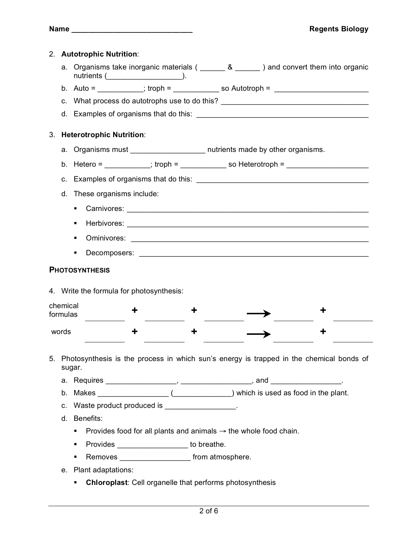|                      |                                 | 2. Autotrophic Nutrition:                                                         |                                                                                              |  |                                                                             |  |  |  |  |  |
|----------------------|---------------------------------|-----------------------------------------------------------------------------------|----------------------------------------------------------------------------------------------|--|-----------------------------------------------------------------------------|--|--|--|--|--|
|                      |                                 |                                                                                   | a. Organisms take inorganic materials ( $\_\_\_\_8 \_\_\_\_$ ) and convert them into organic |  |                                                                             |  |  |  |  |  |
|                      |                                 |                                                                                   | b. Auto = __________; troph = ______________ so Autotroph = ____________________             |  |                                                                             |  |  |  |  |  |
|                      |                                 | c. What process do autotrophs use to do this? __________________________________  |                                                                                              |  |                                                                             |  |  |  |  |  |
|                      |                                 |                                                                                   |                                                                                              |  |                                                                             |  |  |  |  |  |
| 3.                   | <b>Heterotrophic Nutrition:</b> |                                                                                   |                                                                                              |  |                                                                             |  |  |  |  |  |
|                      |                                 |                                                                                   |                                                                                              |  | a. Organisms must ______________________ nutrients made by other organisms. |  |  |  |  |  |
|                      |                                 |                                                                                   | b. Hetero = __________; troph = ______________ so Heterotroph = ________________             |  |                                                                             |  |  |  |  |  |
|                      | c.                              |                                                                                   |                                                                                              |  |                                                                             |  |  |  |  |  |
|                      | d.                              | These organisms include:                                                          |                                                                                              |  |                                                                             |  |  |  |  |  |
|                      |                                 | ٠                                                                                 |                                                                                              |  |                                                                             |  |  |  |  |  |
|                      |                                 | ٠                                                                                 |                                                                                              |  |                                                                             |  |  |  |  |  |
|                      |                                 | ٠                                                                                 |                                                                                              |  |                                                                             |  |  |  |  |  |
|                      |                                 | ٠                                                                                 |                                                                                              |  |                                                                             |  |  |  |  |  |
|                      |                                 |                                                                                   |                                                                                              |  |                                                                             |  |  |  |  |  |
|                      |                                 | <b>PHOTOSYNTHESIS</b>                                                             |                                                                                              |  |                                                                             |  |  |  |  |  |
|                      |                                 |                                                                                   | 4. Write the formula for photosynthesis:                                                     |  |                                                                             |  |  |  |  |  |
| chemical<br>formulas |                                 |                                                                                   |                                                                                              |  |                                                                             |  |  |  |  |  |
| words                |                                 |                                                                                   |                                                                                              |  |                                                                             |  |  |  |  |  |
| 5.                   |                                 | sugar.                                                                            | Photosynthesis is the process in which sun's energy is trapped in the chemical bonds of      |  |                                                                             |  |  |  |  |  |
|                      |                                 |                                                                                   |                                                                                              |  |                                                                             |  |  |  |  |  |
|                      |                                 |                                                                                   |                                                                                              |  |                                                                             |  |  |  |  |  |
|                      |                                 |                                                                                   | c. Waste product produced is _________________.                                              |  |                                                                             |  |  |  |  |  |
|                      |                                 | d. Benefits:                                                                      |                                                                                              |  |                                                                             |  |  |  |  |  |
|                      |                                 | Provides food for all plants and animals $\rightarrow$ the whole food chain.<br>٠ |                                                                                              |  |                                                                             |  |  |  |  |  |
|                      |                                 | ٠                                                                                 | Provides _______________________ to breathe.                                                 |  |                                                                             |  |  |  |  |  |
|                      |                                 | ٠                                                                                 |                                                                                              |  |                                                                             |  |  |  |  |  |
|                      |                                 | e. Plant adaptations:                                                             |                                                                                              |  |                                                                             |  |  |  |  |  |
|                      |                                 | ٠                                                                                 | <b>Chloroplast:</b> Cell organelle that performs photosynthesis                              |  |                                                                             |  |  |  |  |  |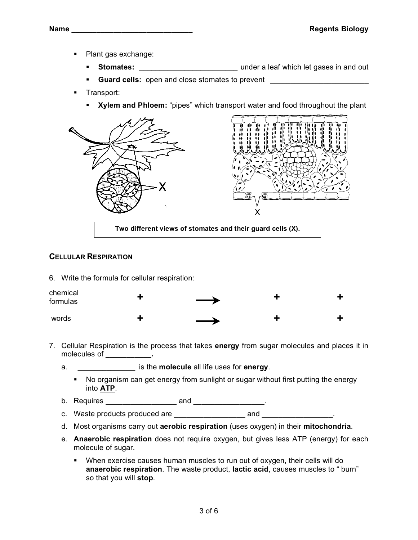- Plant gas exchange:
	- **Stomates:** \_\_\_\_\_\_\_\_\_\_\_\_\_\_\_\_\_\_\_\_\_\_\_\_ under a leaf which let gases in and out
	- **Guard cells:** open and close stomates to prevent \_\_\_\_\_\_\_\_\_\_\_\_\_\_\_\_\_\_\_\_\_\_\_\_\_\_\_\_\_\_\_
- Transport:
	- **Xylem and Phloem:** "pipes" which transport water and food throughout the plant



**Two different views of stomates and their guard cells (X).**

## **CELLULAR RESPIRATION**

6. Write the formula for cellular respiration:



- 7. Cellular Respiration is the process that takes **energy** from sugar molecules and places it in molecules of **\_\_\_\_\_\_\_\_\_\_\_.**
	- a. \_\_\_\_\_\_\_\_\_\_\_\_\_\_ is the **molecule** all life uses for **energy**.
		- No organism can get energy from sunlight or sugar without first putting the energy into **ATP**.
	- b. Requires \_\_\_\_\_\_\_\_\_\_\_\_\_\_\_\_\_ and \_\_\_\_\_\_\_\_\_\_\_\_\_\_\_\_\_.
	- c. Waste products produced are \_\_\_\_\_\_\_\_\_\_\_\_\_\_\_\_\_ and \_\_\_\_\_\_\_\_\_\_\_\_\_\_\_\_\_.
	- d. Most organisms carry out **aerobic respiration** (uses oxygen) in their **mitochondria**.
	- e. **Anaerobic respiration** does not require oxygen, but gives less ATP (energy) for each molecule of sugar.
		- When exercise causes human muscles to run out of oxygen, their cells will do **anaerobic respiration**. The waste product, **lactic acid**, causes muscles to " burn" so that you will **stop**.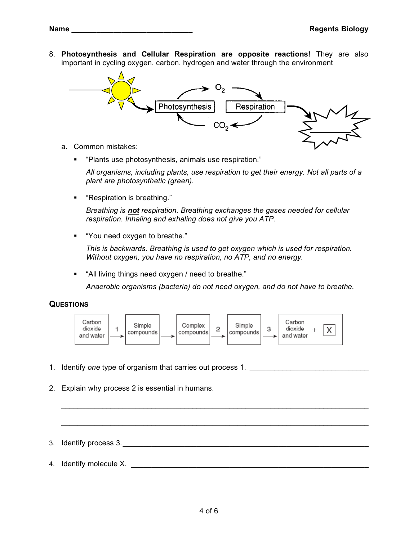8. **Photosynthesis and Cellular Respiration are opposite reactions!** They are also important in cycling oxygen, carbon, hydrogen and water through the environment



- a. Common mistakes:
	- "Plants use photosynthesis, animals use respiration."

*All organisms, including plants, use respiration to get their energy. Not all parts of a plant are photosynthetic (green).*

"Respiration is breathing."

*Breathing is not respiration. Breathing exchanges the gases needed for cellular respiration. Inhaling and exhaling does not give you ATP.*

"You need oxygen to breathe."

*This is backwards. Breathing is used to get oxygen which is used for respiration. Without oxygen, you have no respiration, no ATP, and no energy.*

"All living things need oxygen / need to breathe."

*Anaerobic organisms (bacteria) do not need oxygen, and do not have to breathe.*

### **QUESTIONS**



\_\_\_\_\_\_\_\_\_\_\_\_\_\_\_\_\_\_\_\_\_\_\_\_\_\_\_\_\_\_\_\_\_\_\_\_\_\_\_\_\_\_\_\_\_\_\_\_\_\_\_\_\_\_\_\_\_\_\_\_\_\_\_\_\_\_\_\_\_\_\_\_\_\_\_

\_\_\_\_\_\_\_\_\_\_\_\_\_\_\_\_\_\_\_\_\_\_\_\_\_\_\_\_\_\_\_\_\_\_\_\_\_\_\_\_\_\_\_\_\_\_\_\_\_\_\_\_\_\_\_\_\_\_\_\_\_\_\_\_\_\_\_\_\_\_\_\_\_\_\_

- 1. Identify *one* type of organism that carries out process 1. \_\_\_\_\_\_\_\_\_\_\_\_\_\_\_\_\_\_\_\_\_\_\_\_\_\_\_\_\_
- 2. Explain why process 2 is essential in humans.
- 3. Identify process 3.\_\_\_\_\_\_\_\_\_\_\_\_\_\_\_\_\_\_\_\_\_\_\_\_\_\_\_\_\_\_\_\_\_\_\_\_\_\_\_\_\_\_\_\_\_\_\_\_\_\_\_\_\_\_\_\_\_\_\_\_
- 4. Identify molecule X. \_\_\_\_\_\_\_\_\_\_\_\_\_\_\_\_\_\_\_\_\_\_\_\_\_\_\_\_\_\_\_\_\_\_\_\_\_\_\_\_\_\_\_\_\_\_\_\_\_\_\_\_\_\_\_\_\_\_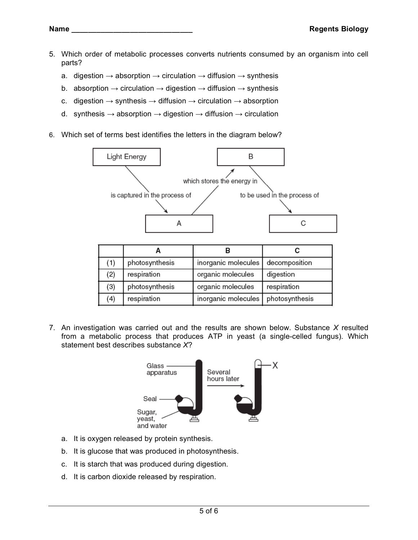- 5. Which order of metabolic processes converts nutrients consumed by an organism into cell parts?
	- a. digestion  $\rightarrow$  absorption  $\rightarrow$  circulation  $\rightarrow$  diffusion  $\rightarrow$  synthesis
	- b. absorption  $\rightarrow$  circulation  $\rightarrow$  digestion  $\rightarrow$  diffusion  $\rightarrow$  synthesis
	- c. digestion  $\rightarrow$  synthesis  $\rightarrow$  diffusion  $\rightarrow$  circulation  $\rightarrow$  absorption
	- d. synthesis  $\rightarrow$  absorption  $\rightarrow$  digestion  $\rightarrow$  diffusion  $\rightarrow$  circulation
- 6. Which set of terms best identifies the letters in the diagram below?



| (1) | photosynthesis | inorganic molecules | decomposition  |
|-----|----------------|---------------------|----------------|
| (2) | respiration    | organic molecules   | digestion      |
| (3) | photosynthesis | organic molecules   | respiration    |
| (4) | respiration    | inorganic molecules | photosynthesis |

7. An investigation was carried out and the results are shown below. Substance *X* resulted from a metabolic process that produces ATP in yeast (a single-celled fungus). Which statement best describes substance *X*?



- a. It is oxygen released by protein synthesis.
- b. It is glucose that was produced in photosynthesis.
- c. It is starch that was produced during digestion.
- d. It is carbon dioxide released by respiration.